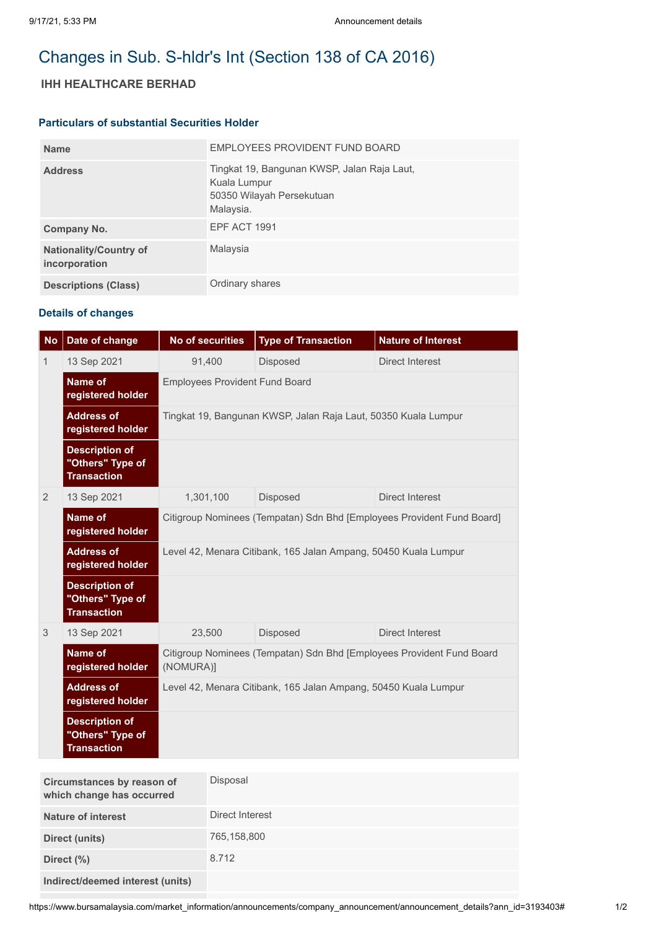# Changes in Sub. S-hldr's Int (Section 138 of CA 2016)

## **IHH HEALTHCARE BERHAD**

### **Particulars of substantial Securities Holder**

| <b>Name</b>                                    | EMPLOYEES PROVIDENT FUND BOARD                                                                        |
|------------------------------------------------|-------------------------------------------------------------------------------------------------------|
| <b>Address</b>                                 | Tingkat 19, Bangunan KWSP, Jalan Raja Laut,<br>Kuala Lumpur<br>50350 Wilayah Persekutuan<br>Malaysia. |
| Company No.                                    | <b>EPF ACT 1991</b>                                                                                   |
| <b>Nationality/Country of</b><br>incorporation | Malaysia                                                                                              |
| <b>Descriptions (Class)</b>                    | Ordinary shares                                                                                       |

### **Details of changes**

| <b>No</b> | Date of change                                                  | <b>No of securities</b>                                                            | <b>Type of Transaction</b> | <b>Nature of Interest</b> |  |
|-----------|-----------------------------------------------------------------|------------------------------------------------------------------------------------|----------------------------|---------------------------|--|
| 1         | 13 Sep 2021                                                     | 91,400                                                                             | <b>Disposed</b>            | <b>Direct Interest</b>    |  |
|           | <b>Name of</b><br>registered holder                             | <b>Employees Provident Fund Board</b>                                              |                            |                           |  |
|           | <b>Address of</b><br>registered holder                          | Tingkat 19, Bangunan KWSP, Jalan Raja Laut, 50350 Kuala Lumpur                     |                            |                           |  |
|           | <b>Description of</b><br>"Others" Type of<br><b>Transaction</b> |                                                                                    |                            |                           |  |
| 2         | 13 Sep 2021                                                     | 1,301,100                                                                          | Disposed                   | <b>Direct Interest</b>    |  |
|           | Name of<br>registered holder                                    | Citigroup Nominees (Tempatan) Sdn Bhd [Employees Provident Fund Board]             |                            |                           |  |
|           | <b>Address of</b><br>registered holder                          | Level 42, Menara Citibank, 165 Jalan Ampang, 50450 Kuala Lumpur                    |                            |                           |  |
|           | <b>Description of</b><br>"Others" Type of<br><b>Transaction</b> |                                                                                    |                            |                           |  |
| 3         | 13 Sep 2021                                                     | 23,500                                                                             | Disposed                   | <b>Direct Interest</b>    |  |
|           | <b>Name of</b><br>registered holder                             | Citigroup Nominees (Tempatan) Sdn Bhd [Employees Provident Fund Board<br>(NOMURA)] |                            |                           |  |
|           | <b>Address of</b><br>registered holder                          | Level 42, Menara Citibank, 165 Jalan Ampang, 50450 Kuala Lumpur                    |                            |                           |  |
|           | <b>Description of</b><br>"Others" Type of<br><b>Transaction</b> |                                                                                    |                            |                           |  |

| Circumstances by reason of<br>which change has occurred | Disposal        |
|---------------------------------------------------------|-----------------|
| Nature of interest                                      | Direct Interest |
| Direct (units)                                          | 765,158,800     |
| Direct (%)                                              | 8.712           |
| Indirect/deemed interest (units)                        |                 |